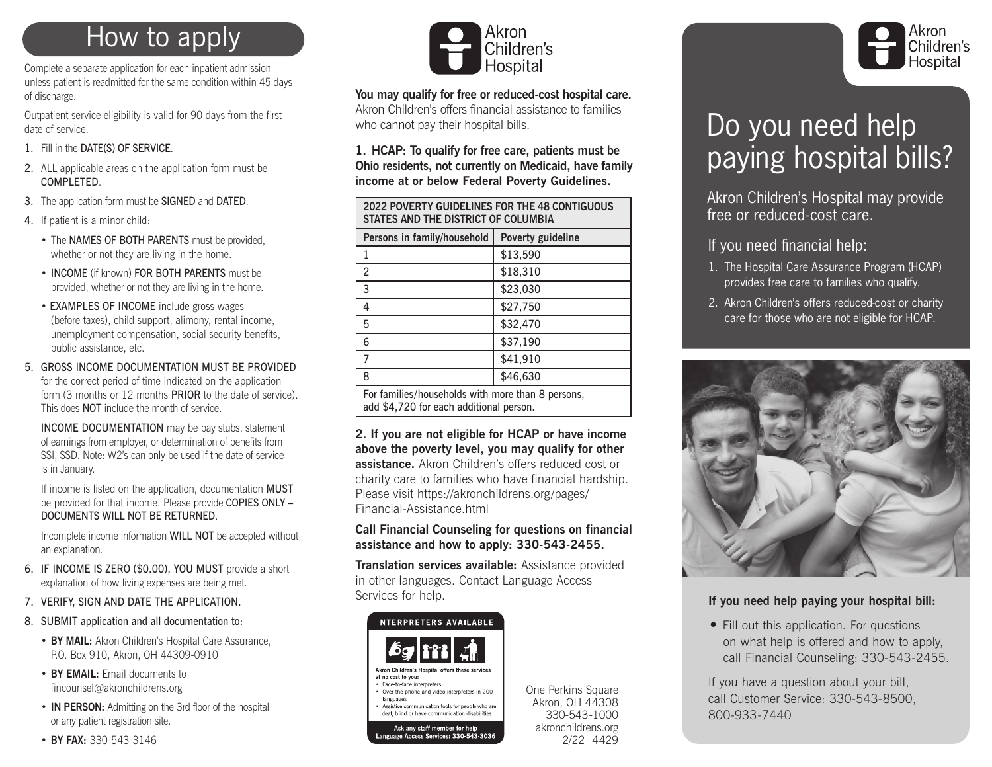## How to apply

Complete a separate application for each inpatient admission unless patient is readmitted for the same condition within 45 days of discharge.

Outpatient service eligibility is valid for 90 days from the first date of service.

- 1. Fill in the DATE(S) OF SERVICE.
- 2. ALL applicable areas on the application form must be COMPLETED.
- 3. The application form must be SIGNED and DATED.
- 4. If patient is a minor child:
	- The NAMES OF BOTH PARENTS must be provided, whether or not they are living in the home.
	- INCOME (if known) FOR BOTH PARENTS must be provided, whether or not they are living in the home.
	- EXAMPLES OF INCOME include gross wages (before taxes), child support, alimony, rental income, unemployment compensation, social security benefits, public assistance, etc.
- 5. GROSS INCOME DOCUMENTATION MUST BE PROVIDED for the correct period of time indicated on the application form (3 months or 12 months PRIOR to the date of service). This does NOT include the month of service.

INCOME DOCUMENTATION may be pay stubs, statement of earnings from employer, or determination of benefits from SSI, SSD. Note: W2's can only be used if the date of service is in January.

If income is listed on the application, documentation MUST be provided for that income. Please provide COPIES ONLY – DOCUMENTS WILL NOT BE RETURNED.

Incomplete income information WILL NOT be accepted without an explanation.

- 6. IF INCOME IS ZERO (\$0.00), YOU MUST provide a short explanation of how living expenses are being met.
- 7. VERIFY, SIGN AND DATE THE APPLICATION.
- 8. SUBMIT application and all documentation to:
	- **BY MAIL:** Akron Children's Hospital Care Assurance, P.O. Box 910, Akron, OH 44309-0910
	- **BY EMAIL:** Email documents to fincounsel@akronchildrens.org
	- **IN PERSON:** Admitting on the 3rd floor of the hospital or any patient registration site.
	- **BY FAX:** 330-543-3146



**You may qualify for free or reduced-cost hospital care.** Akron Children's offers financial assistance to families who cannot pay their hospital bills.

**1. HCAP: To qualify for free care, patients must be Ohio residents, not currently on Medicaid, have family income at or below Federal Poverty Guidelines.** 

| <b>2022 POVERTY GUIDELINES FOR THE 48 CONTIGUOUS</b><br>STATES AND THE DISTRICT OF COLUMBIA |                   |  |  |  |  |
|---------------------------------------------------------------------------------------------|-------------------|--|--|--|--|
| Persons in family/household                                                                 | Poverty guideline |  |  |  |  |
| 1                                                                                           | \$13,590          |  |  |  |  |
| $\overline{c}$                                                                              | \$18,310          |  |  |  |  |
| 3                                                                                           | \$23,030          |  |  |  |  |
| 4                                                                                           | \$27,750          |  |  |  |  |
| 5                                                                                           | \$32,470          |  |  |  |  |
| 6                                                                                           | \$37,190          |  |  |  |  |
| 7                                                                                           | \$41,910          |  |  |  |  |
| 8                                                                                           | \$46,630          |  |  |  |  |
| For families/households with more than 8 persons,                                           |                   |  |  |  |  |

add \$4,720 for each additional person.

**2. If you are not eligible for HCAP or have income above the poverty level, you may qualify for other assistance.** Akron Children's offers reduced cost or charity care to families who have financial hardship. Please visit https://akronchildrens.org/pages/ Financial-Assistance.html

#### **Call Financial Counseling for questions on financial assistance and how to apply: 330-543-2455.**

**Translation services available:** Assistance provided in other languages. Contact Language Access Services for help.



One Perkins Square Akron, OH 44308 330-543-1000 akronchildrens.org 2/22- 4429



# Do you need help paying hospital bills?

Akron Children's Hospital may provide free or reduced-cost care.

If you need financial help:

- 1. The Hospital Care Assurance Program (HCAP) provides free care to families who qualify.
- 2. Akron Children's offers reduced-cost or charity care for those who are not eligible for HCAP.



### **If you need help paying your hospital bill:**

• Fill out this application. For questions on what help is offered and how to apply, call Financial Counseling: 330-543-2455.

If you have a question about your bill, call Customer Service: 330-543-8500, 800-933-7440